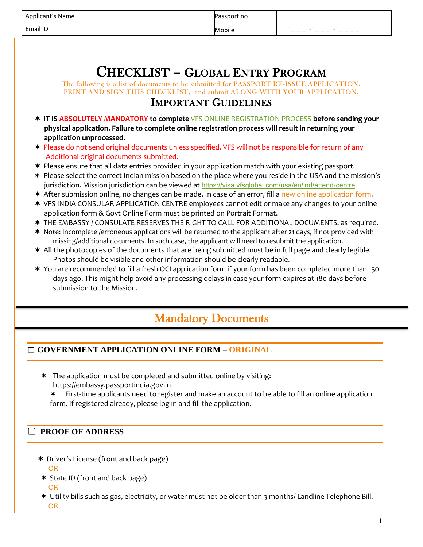|                                                                                                                                                                                                                                             | Applicant's Name                                                                                                                                                                                                                                                                                                                                                                                                                                                                                                                                                                                                                                                                                                                                                                                                                                                                                                                                                                                                                                                                                                                                                                                                                                                                                                                                                                                                                                                                                                                                                                                                                                                                                                                                                                          | Passport no. |  |  |  |  |
|---------------------------------------------------------------------------------------------------------------------------------------------------------------------------------------------------------------------------------------------|-------------------------------------------------------------------------------------------------------------------------------------------------------------------------------------------------------------------------------------------------------------------------------------------------------------------------------------------------------------------------------------------------------------------------------------------------------------------------------------------------------------------------------------------------------------------------------------------------------------------------------------------------------------------------------------------------------------------------------------------------------------------------------------------------------------------------------------------------------------------------------------------------------------------------------------------------------------------------------------------------------------------------------------------------------------------------------------------------------------------------------------------------------------------------------------------------------------------------------------------------------------------------------------------------------------------------------------------------------------------------------------------------------------------------------------------------------------------------------------------------------------------------------------------------------------------------------------------------------------------------------------------------------------------------------------------------------------------------------------------------------------------------------------------|--------------|--|--|--|--|
|                                                                                                                                                                                                                                             | Email ID                                                                                                                                                                                                                                                                                                                                                                                                                                                                                                                                                                                                                                                                                                                                                                                                                                                                                                                                                                                                                                                                                                                                                                                                                                                                                                                                                                                                                                                                                                                                                                                                                                                                                                                                                                                  | Mobile       |  |  |  |  |
| <b>CHECKLIST - GLOBAL ENTRY PROGRAM</b><br>The following is a list of documents to be submitted for PASSPORT RE-ISSUE APPLICATION.<br>PRINT AND SIGN THIS CHECKLIST, and submit ALONG WITH YOUR APPLICATION.<br><b>IMPORTANT GUIDELINES</b> |                                                                                                                                                                                                                                                                                                                                                                                                                                                                                                                                                                                                                                                                                                                                                                                                                                                                                                                                                                                                                                                                                                                                                                                                                                                                                                                                                                                                                                                                                                                                                                                                                                                                                                                                                                                           |              |  |  |  |  |
|                                                                                                                                                                                                                                             | * IT IS ABSOLUTELY MANDATORY to complete VFS ONLINE REGISTRATION PROCESS before sending your<br>physical application. Failure to complete online registration process will result in returning your<br>application unprocessed.<br>* Please do not send original documents unless specified. VFS will not be responsible for return of any<br>Additional original documents submitted.<br>* Please ensure that all data entries provided in your application match with your existing passport.<br>* Please select the correct Indian mission based on the place where you reside in the USA and the mission's<br>jurisdiction. Mission jurisdiction can be viewed at https://visa.vfsglobal.com/usa/en/ind/attend-centre<br>* After submission online, no changes can be made. In case of an error, fill a new online application form.<br>* VFS INDIA CONSULAR APPLICATION CENTRE employees cannot edit or make any changes to your online<br>application form & Govt Online Form must be printed on Portrait Format.<br>* THE EMBASSY / CONSULATE RESERVES THE RIGHT TO CALL FOR ADDITIONAL DOCUMENTS, as required.<br>* Note: Incomplete /erroneous applications will be returned to the applicant after 21 days, if not provided with<br>missing/additional documents. In such case, the applicant will need to resubmit the application.<br>* All the photocopies of the documents that are being submitted must be in full page and clearly legible.<br>Photos should be visible and other information should be clearly readable.<br>* You are recommended to fill a fresh OCI application form if your form has been completed more than 150<br>days ago. This might help avoid any processing delays in case your form expires at 180 days before<br>submission to the Mission. |              |  |  |  |  |
| <b>Mandatory Documents</b>                                                                                                                                                                                                                  |                                                                                                                                                                                                                                                                                                                                                                                                                                                                                                                                                                                                                                                                                                                                                                                                                                                                                                                                                                                                                                                                                                                                                                                                                                                                                                                                                                                                                                                                                                                                                                                                                                                                                                                                                                                           |              |  |  |  |  |

## **GOVERNMENT APPLICATION ONLINE FORM – ORIGINAL**

\* The application must be completed and submitted online by visiting: https://embassy.passportindia.gov.in

\* First-time applicants need to register and make an account to be able to fill an online application form. If registered already, please log in and fill the application.

### **PROOF OF ADDRESS**

- Driver's License (front and back page) OR
- State ID (front and back page) OR
- Utility bills such as gas, electricity, or water must not be older than 3 months/ Landline Telephone Bill. OR